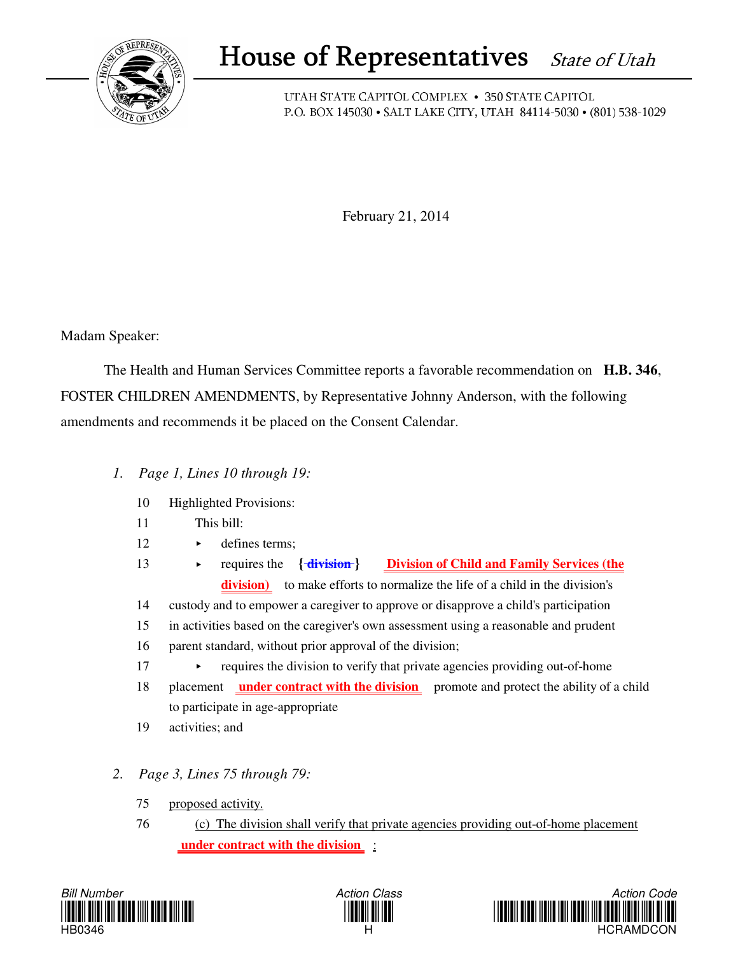

## House of Representatives State of Utah

UTAH STATE CAPITOL COMPLEX • 350 STATE CAPITOL P.O. BOX 145030 • SALT LAKE CITY, UTAH 84114-5030 • (801) 538-1029

February 21, 2014

Madam Speaker:

 The Health and Human Services Committee reports a favorable recommendation on **H.B. 346**, FOSTER CHILDREN AMENDMENTS, by Representative Johnny Anderson, with the following amendments and recommends it be placed on the Consent Calendar.

- *1. Page 1, Lines 10 through 19:*
	- 10 Highlighted Provisions:
	- 11 This bill:
	- 12 **defines terms:**
	- 13 requires the **{ division } Division of Child and Family Services (the division)** to make efforts to normalize the life of a child in the division's
	- 14 custody and to empower a caregiver to approve or disapprove a child's participation
	- 15 in activities based on the caregiver's own assessment using a reasonable and prudent
	- 16 parent standard, without prior approval of the division;
	- 17 requires the division to verify that private agencies providing out-of-home
	- 18 placement **under contract with the division** promote and protect the ability of a child to participate in age-appropriate
	- 19 activities; and
- *2. Page 3, Lines 75 through 79:*
	- 75 proposed activity.
	- 76 (c) The division shall verify that private agencies providing out-of-home placement  **under contract with the division** :